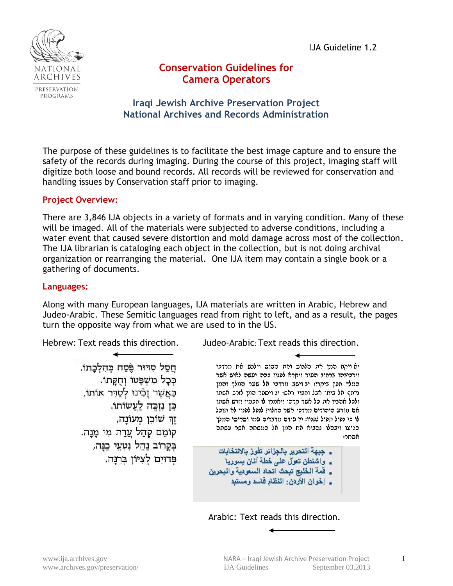IJA Guideline 1.2



# **Conservation Guidelines for Camera Operators**

## **Iraqi Jewish Archive Preservation Project National Archives and Records Administration**

The purpose of these guidelines is to facilitate the best image capture and to ensure the safety of the records during imaging. During the course of this project, imaging staff will digitize both loose and bound records. All records will be reviewed for conservation and handling issues by Conservation staff prior to imaging.

#### **Project Overview:**

There are 3,846 IJA objects in a variety of formats and in varying condition. Many of these will be imaged. All of the materials were subjected to adverse conditions, including a water event that caused severe distortion and mold damage across most of the collection. The IJA librarian is cataloging each object in the collection, but is not doing archival organization or rearranging the material. One IJA item may contain a single book or a gathering of documents.

#### **Languages:**

Along with many European languages, IJA materials are written in Arabic, Hebrew and Judeo-Arabic. These Semitic languages read from right to left, and as a result, the pages turn the opposite way from what we are used to in the US.

חַסַל סְדּוּר פֵּסַח כִּהְלָכַתוֹ, ככל משפטו וחקתו. כַּאֲשֶׁר וַכְֿינוּ לְסַדֵּר אוֹתוֹ, כֵּן נִזְכֵּה לַעֲשׂוֹתוֹ. ַזַרְ שׁוֹכֵן מְעוֹנַה, קוֹמֵם קִהַל עֲדַת מִי מַנַה. בִּקֲרוֹב נַהֱל נְטָעֵי כַּנַּה, פרוים לציון ברנה.

Hebrew: Text reads this direction. Judeo-Arabic: Text reads this direction.

יא ויקח המן את הלצוש ואת הסוס וילבש את מרדכי וירכיבהו ברחוב העיר ויקרא לפניו ככה יעשה לאיש אשר המלך חפץ ביקרו: יב וישב מרדכי אל שער המלך והמן נדחף אל ביתו אבל וחפוי ראש: יג ויספר המן לזרש אשתו ולכל אהביו את כל אשר קרהו ויאנורו לו הכנויו וזרש אשתו אם מזרע היהודים מרדכי אשר החלות לנפל לפניו לא תוכל לו כי נפול תפול לפניו: יד עודם מדברים עמו וסריסי המלך הגיעו ויבהלו להביא את המן אל המשתה אשר עשתה אסתר:

- \_ جبهة التحرير بالجزائر تفوز بالانتخابات
- \_ واشنطن تعول على خطة آنان بسوريا
- \_ قمة الخليج تبحث أتحاد السعودية والبحرين
	- \_ إخوان الأردن: النظام فاسد ومستبد

Arabic: Text reads this direction.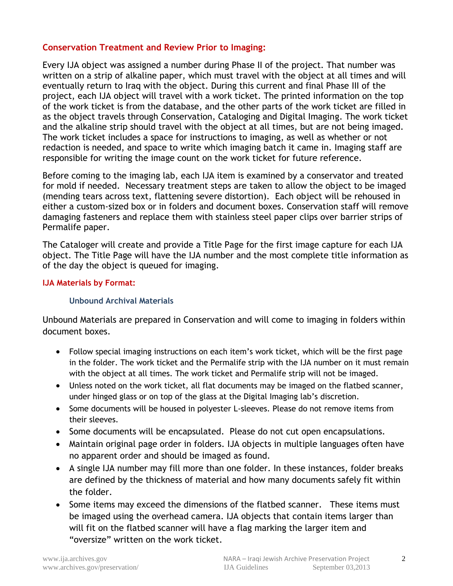#### **Conservation Treatment and Review Prior to Imaging:**

Every IJA object was assigned a number during Phase II of the project. That number was written on a strip of alkaline paper, which must travel with the object at all times and will eventually return to Iraq with the object. During this current and final Phase III of the project, each IJA object will travel with a work ticket. The printed information on the top of the work ticket is from the database, and the other parts of the work ticket are filled in as the object travels through Conservation, Cataloging and Digital Imaging. The work ticket and the alkaline strip should travel with the object at all times, but are not being imaged. The work ticket includes a space for instructions to imaging, as well as whether or not redaction is needed, and space to write which imaging batch it came in. Imaging staff are responsible for writing the image count on the work ticket for future reference.

Before coming to the imaging lab, each IJA item is examined by a conservator and treated for mold if needed. Necessary treatment steps are taken to allow the object to be imaged (mending tears across text, flattening severe distortion). Each object will be rehoused in either a custom-sized box or in folders and document boxes. Conservation staff will remove damaging fasteners and replace them with stainless steel paper clips over barrier strips of Permalife paper.

The Cataloger will create and provide a Title Page for the first image capture for each IJA object. The Title Page will have the IJA number and the most complete title information as of the day the object is queued for imaging.

#### **IJA Materials by Format:**

#### **Unbound Archival Materials**

Unbound Materials are prepared in Conservation and will come to imaging in folders within document boxes.

- Follow special imaging instructions on each item's work ticket, which will be the first page in the folder. The work ticket and the Permalife strip with the IJA number on it must remain with the object at all times. The work ticket and Permalife strip will not be imaged.
- Unless noted on the work ticket, all flat documents may be imaged on the flatbed scanner, under hinged glass or on top of the glass at the Digital Imaging lab's discretion.
- Some documents will be housed in polyester L-sleeves. Please do not remove items from their sleeves.
- Some documents will be encapsulated. Please do not cut open encapsulations.
- Maintain original page order in folders. IJA objects in multiple languages often have no apparent order and should be imaged as found.
- A single IJA number may fill more than one folder. In these instances, folder breaks are defined by the thickness of material and how many documents safely fit within the folder.
- Some items may exceed the dimensions of the flatbed scanner. These items must be imaged using the overhead camera. IJA objects that contain items larger than will fit on the flatbed scanner will have a flag marking the larger item and "oversize" written on the work ticket.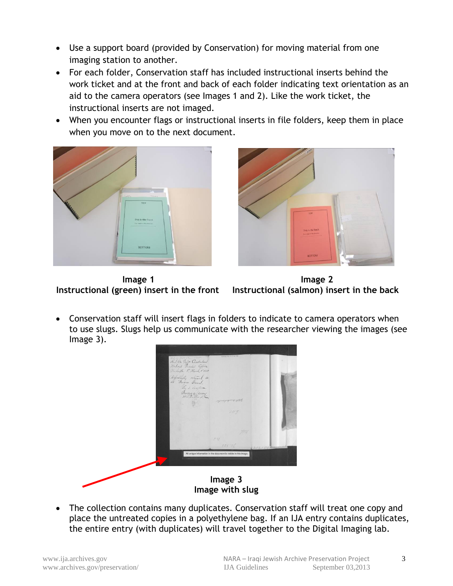- Use a support board (provided by Conservation) for moving material from one imaging station to another.
- For each folder, Conservation staff has included instructional inserts behind the work ticket and at the front and back of each folder indicating text orientation as an aid to the camera operators (see Images 1 and 2). Like the work ticket, the instructional inserts are not imaged.
- When you encounter flags or instructional inserts in file folders, keep them in place when you move on to the next document.





**Image 1 Image 2 Instructional (green) insert in the front Instructional (salmon) insert in the back**

 Conservation staff will insert flags in folders to indicate to camera operators when to use slugs. Slugs help us communicate with the researcher viewing the images (see Image 3).



• The collection contains many duplicates. Conservation staff will treat one copy and place the untreated copies in a polyethylene bag. If an IJA entry contains duplicates, the entire entry (with duplicates) will travel together to the Digital Imaging lab.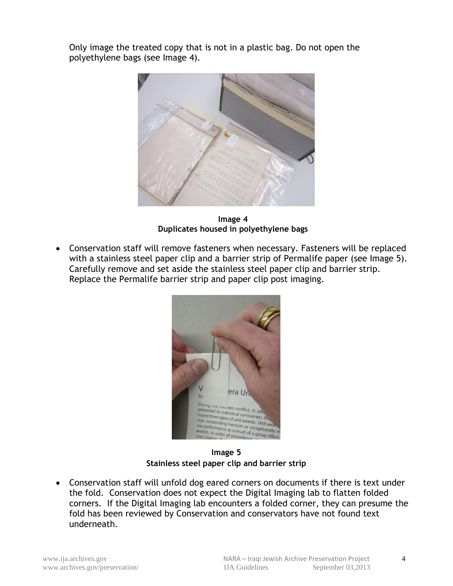Only image the treated copy that is not in a plastic bag. Do not open the polyethylene bags (see Image 4).



**Image 4 Duplicates housed in polyethylene bags**

 Conservation staff will remove fasteners when necessary. Fasteners will be replaced with a stainless steel paper clip and a barrier strip of Permalife paper (see Image 5). Carefully remove and set aside the stainless steel paper clip and barrier strip. Replace the Permalife barrier strip and paper clip post imaging.



**Image 5 Stainless steel paper clip and barrier strip**

 Conservation staff will unfold dog eared corners on documents if there is text under the fold. Conservation does not expect the Digital Imaging lab to flatten folded corners. If the Digital Imaging lab encounters a folded corner, they can presume the fold has been reviewed by Conservation and conservators have not found text underneath.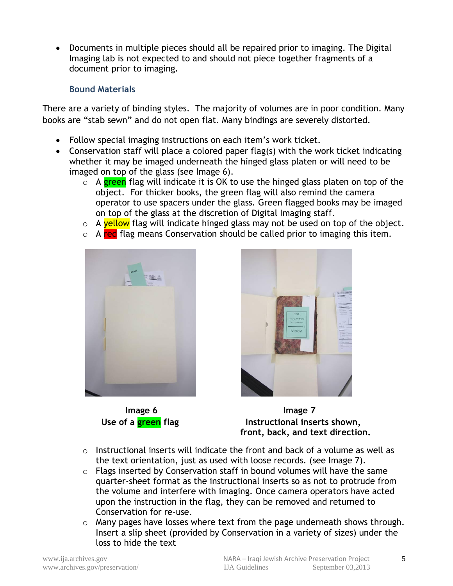Documents in multiple pieces should all be repaired prior to imaging. The Digital Imaging lab is not expected to and should not piece together fragments of a document prior to imaging.

## **Bound Materials**

There are a variety of binding styles. The majority of volumes are in poor condition. Many books are "stab sewn" and do not open flat. Many bindings are severely distorted.

- Follow special imaging instructions on each item's work ticket.
- Conservation staff will place a colored paper flag(s) with the work ticket indicating whether it may be imaged underneath the hinged glass platen or will need to be imaged on top of the glass (see Image 6).
	- $\circ$  A green flag will indicate it is OK to use the hinged glass platen on top of the object. For thicker books, the green flag will also remind the camera operator to use spacers under the glass. Green flagged books may be imaged on top of the glass at the discretion of Digital Imaging staff.
	- o A yellow flag will indicate hinged glass may not be used on top of the object.
	- o A red flag means Conservation should be called prior to imaging this item.





**Image 6 Image 7** Use of a **green** flag **Instructional inserts shown**,  **front, back, and text direction.**

- $\circ$  Instructional inserts will indicate the front and back of a volume as well as the text orientation, just as used with loose records. (see Image 7).
- $\circ$  Flags inserted by Conservation staff in bound volumes will have the same quarter-sheet format as the instructional inserts so as not to protrude from the volume and interfere with imaging. Once camera operators have acted upon the instruction in the flag, they can be removed and returned to Conservation for re-use.
- o Many pages have losses where text from the page underneath shows through. Insert a slip sheet (provided by Conservation in a variety of sizes) under the loss to hide the text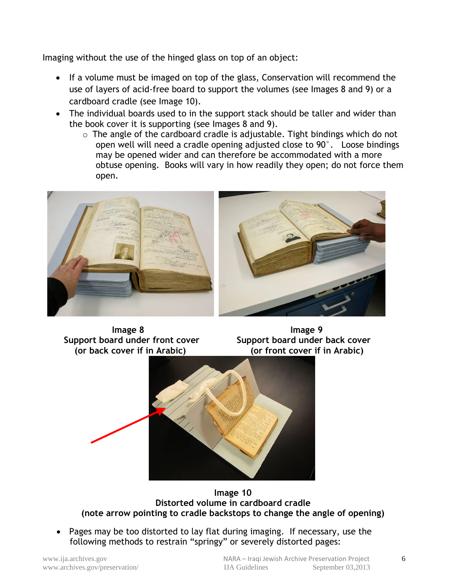Imaging without the use of the hinged glass on top of an object:

- If a volume must be imaged on top of the glass, Conservation will recommend the use of layers of acid-free board to support the volumes (see Images 8 and 9) or a cardboard cradle (see Image 10).
- The individual boards used to in the support stack should be taller and wider than the book cover it is supporting (see Images 8 and 9).
	- $\circ$  The angle of the cardboard cradle is adjustable. Tight bindings which do not open well will need a cradle opening adjusted close to 90°. Loose bindings may be opened wider and can therefore be accommodated with a more obtuse opening. Books will vary in how readily they open; do not force them open.



 **Image 8 Image 9** Support board under front cover **Support board under back cover** 

 **(or back cover if in Arabic) (or front cover if in Arabic)**



**Image 10 Distorted volume in cardboard cradle (note arrow pointing to cradle backstops to change the angle of opening)**

 Pages may be too distorted to lay flat during imaging. If necessary, use the following methods to restrain "springy" or severely distorted pages: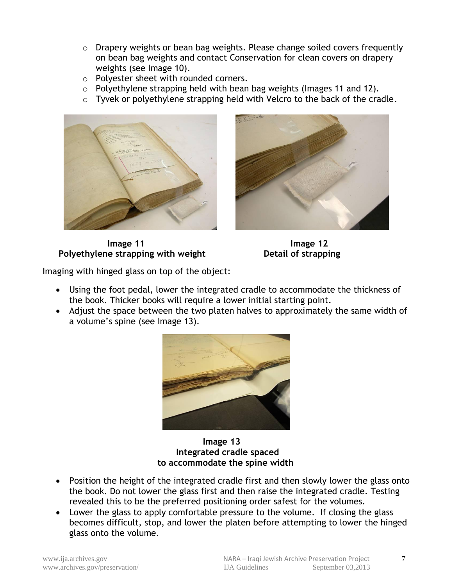- o Drapery weights or bean bag weights. Please change soiled covers frequently on bean bag weights and contact Conservation for clean covers on drapery weights (see Image 10).
- o Polyester sheet with rounded corners.
- o Polyethylene strapping held with bean bag weights (Images 11 and 12).
- o Tyvek or polyethylene strapping held with Velcro to the back of the cradle.





**Image 11 Image 12 Polyethylene strapping with weight Detail of strapping** 

Imaging with hinged glass on top of the object:

- Using the foot pedal, lower the integrated cradle to accommodate the thickness of the book. Thicker books will require a lower initial starting point.
- Adjust the space between the two platen halves to approximately the same width of a volume's spine (see Image 13).



 **Image 13 Integrated cradle spaced to accommodate the spine width**

- Position the height of the integrated cradle first and then slowly lower the glass onto the book. Do not lower the glass first and then raise the integrated cradle. Testing revealed this to be the preferred positioning order safest for the volumes.
- Lower the glass to apply comfortable pressure to the volume. If closing the glass becomes difficult, stop, and lower the platen before attempting to lower the hinged glass onto the volume.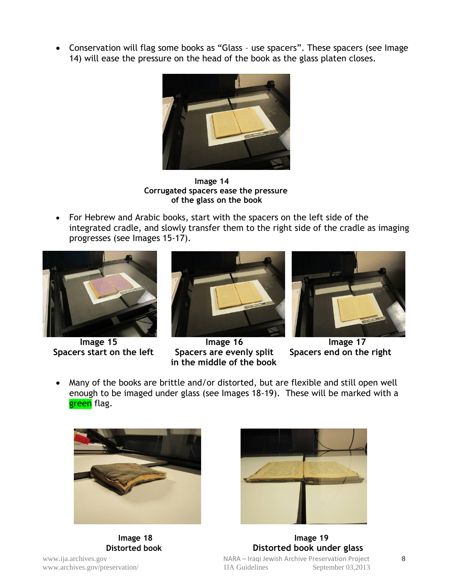Conservation will flag some books as "Glass – use spacers". These spacers (see Image 14) will ease the pressure on the head of the book as the glass platen closes.



 **Image 14 Corrugated spacers ease the pressure of the glass on the book**

 For Hebrew and Arabic books, start with the spacers on the left side of the integrated cradle, and slowly transfer them to the right side of the cradle as imaging progresses (see Images 15-17).





**Image 15** Image 16 Image 15 Image 16 Image 17<br>Ins start on the left Spacers are evenly split Spacers end on the right  **Spacers start on the left Spacers are evenly split in the middle of the book**



 Many of the books are brittle and/or distorted, but are flexible and still open well enough to be imaged under glass (see Images 18-19). These will be marked with a green flag.





www.ija.archives.gov **archives.gov NARA** – Iraqi Jewish Archive Preservation Project **8** www.archives.gov/preservation/ IJA Guidelines September 03,2013 **Image 18 Image 19 Distorted book Distorted book under glass**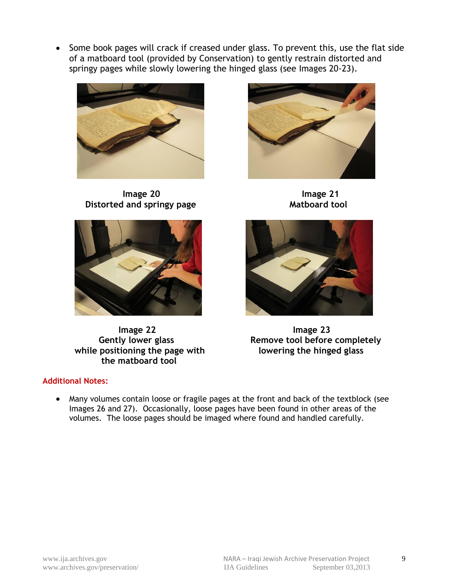• Some book pages will crack if creased under glass. To prevent this, use the flat side of a matboard tool (provided by Conservation) to gently restrain distorted and springy pages while slowly lowering the hinged glass (see Images 20-23).



**Image 20** Image 21 **Distorted and springy page Mathoard tool** 



 **Image 22 Image 23** while positioning the page with lowering the hinged glass  **the matboard tool**





Gently lower glass **Remove tool before completely** 

## **Additional Notes:**

 Many volumes contain loose or fragile pages at the front and back of the textblock (see Images 26 and 27). Occasionally, loose pages have been found in other areas of the volumes. The loose pages should be imaged where found and handled carefully.